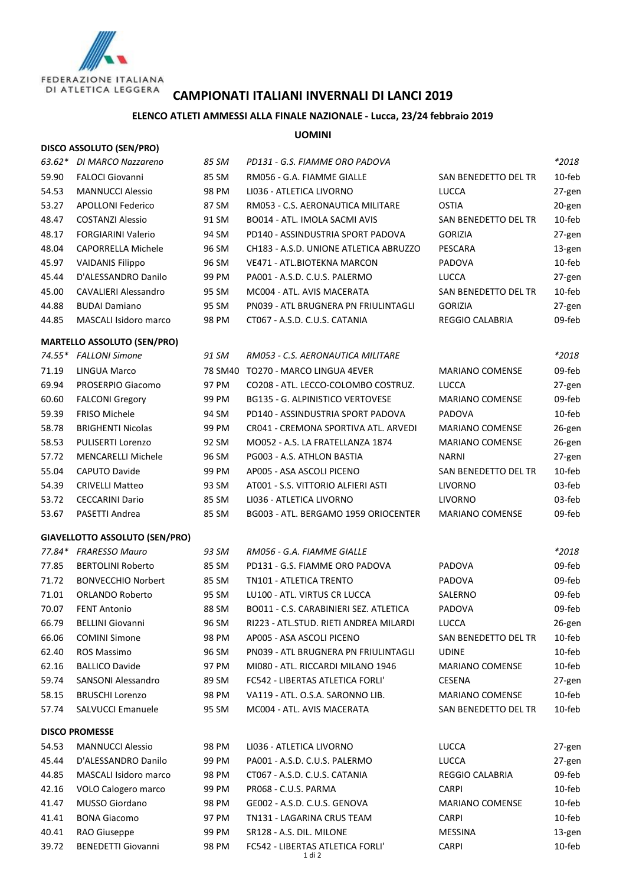

## **CAMPIONATI ITALIANI INVERNALI DI LANCI 2019**

## **ELENCO ATLETI AMMESSI ALLA FINALE NAZIONALE - Lucca, 23/24 febbraio 2019**

## **UOMINI**

| <b>DISCO ASSOLUTO (SEN/PRO)</b> |  |
|---------------------------------|--|
|---------------------------------|--|

| 63.62* | DI MARCO Nazzareno                    | 85 SM   | PD131 - G.S. FIAMME ORO PADOVA          |                        | *2018            |
|--------|---------------------------------------|---------|-----------------------------------------|------------------------|------------------|
| 59.90  | <b>FALOCI Giovanni</b>                | 85 SM   | RM056 - G.A. FIAMME GIALLE              | SAN BENEDETTO DEL TR   | 10-feb           |
| 54.53  | <b>MANNUCCI Alessio</b>               | 98 PM   | LI036 - ATLETICA LIVORNO                | LUCCA                  | 27-gen           |
| 53.27  | <b>APOLLONI Federico</b>              | 87 SM   | RM053 - C.S. AERONAUTICA MILITARE       | OSTIA                  | 20-gen           |
| 48.47  | <b>COSTANZI Alessio</b>               | 91 SM   | BO014 - ATL. IMOLA SACMI AVIS           | SAN BENEDETTO DEL TR   | 10-feb           |
| 48.17  | <b>FORGIARINI Valerio</b>             | 94 SM   | PD140 - ASSINDUSTRIA SPORT PADOVA       | <b>GORIZIA</b>         | 27-gen           |
| 48.04  | CAPORRELLA Michele                    | 96 SM   | CH183 - A.S.D. UNIONE ATLETICA ABRUZZO  | PESCARA                | 13-gen           |
| 45.97  | <b>VAIDANIS Filippo</b>               | 96 SM   | VE471 - ATL.BIOTEKNA MARCON             | PADOVA                 | 10-feb           |
| 45.44  | D'ALESSANDRO Danilo                   | 99 PM   | PA001 - A.S.D. C.U.S. PALERMO           | <b>LUCCA</b>           | 27-gen           |
| 45.00  | <b>CAVALIERI Alessandro</b>           | 95 SM   | MC004 - ATL. AVIS MACERATA              | SAN BENEDETTO DEL TR   | 10-feb           |
| 44.88  | <b>BUDAI Damiano</b>                  | 95 SM   | PN039 - ATL BRUGNERA PN FRIULINTAGLI    | <b>GORIZIA</b>         | 27-gen           |
| 44.85  | MASCALI Isidoro marco                 | 98 PM   | CT067 - A.S.D. C.U.S. CATANIA           | REGGIO CALABRIA        | 09-feb           |
|        |                                       |         |                                         |                        |                  |
|        | <b>MARTELLO ASSOLUTO (SEN/PRO)</b>    |         |                                         |                        |                  |
|        | 74.55* FALLONI Simone                 | 91 SM   | RM053 - C.S. AERONAUTICA MILITARE       |                        | *2018            |
| 71.19  | <b>LINGUA Marco</b>                   | 78 SM40 | TO270 - MARCO LINGUA 4EVER              | <b>MARIANO COMENSE</b> | 09-feb           |
| 69.94  | PROSERPIO Giacomo                     | 97 PM   | CO208 - ATL. LECCO-COLOMBO COSTRUZ.     | <b>LUCCA</b>           | 27-gen           |
| 60.60  | <b>FALCONI Gregory</b>                | 99 PM   | <b>BG135 - G. ALPINISTICO VERTOVESE</b> | <b>MARIANO COMENSE</b> | 09-feb           |
| 59.39  | <b>FRISO Michele</b>                  | 94 SM   | PD140 - ASSINDUSTRIA SPORT PADOVA       | PADOVA                 | 10-feb           |
| 58.78  | <b>BRIGHENTI Nicolas</b>              | 99 PM   | CR041 - CREMONA SPORTIVA ATL. ARVEDI    | <b>MARIANO COMENSE</b> | 26-gen           |
| 58.53  | PULISERTI Lorenzo                     | 92 SM   | MO052 - A.S. LA FRATELLANZA 1874        | MARIANO COMENSE        | 26-gen           |
| 57.72  | <b>MENCARELLI Michele</b>             | 96 SM   | PG003 - A.S. ATHLON BASTIA              | NARNI                  | 27-gen           |
| 55.04  | <b>CAPUTO Davide</b>                  | 99 PM   | AP005 - ASA ASCOLI PICENO               | SAN BENEDETTO DEL TR   | 10-feb           |
| 54.39  | <b>CRIVELLI Matteo</b>                | 93 SM   | AT001 - S.S. VITTORIO ALFIERI ASTI      | <b>LIVORNO</b>         | 03-feb           |
| 53.72  | <b>CECCARINI Dario</b>                | 85 SM   | LI036 - ATLETICA LIVORNO                | <b>LIVORNO</b>         | 03-feb           |
| 53.67  | PASETTI Andrea                        | 85 SM   | BG003 - ATL. BERGAMO 1959 ORIOCENTER    | MARIANO COMENSE        | 09-feb           |
|        | <b>GIAVELLOTTO ASSOLUTO (SEN/PRO)</b> |         |                                         |                        |                  |
|        | 77.84* FRARESSO Mauro                 | 93 SM   | RM056 - G.A. FIAMME GIALLE              |                        | $*2018$          |
| 77.85  | <b>BERTOLINI Roberto</b>              | 85 SM   | PD131 - G.S. FIAMME ORO PADOVA          | PADOVA                 | 09-feb           |
| 71.72  | <b>BONVECCHIO Norbert</b>             | 85 SM   | TN101 - ATLETICA TRENTO                 | PADOVA                 | 09-feb           |
| 71.01  | ORLANDO Roberto                       | 95 SM   | LU100 - ATL. VIRTUS CR LUCCA            | SALERNO                | 09-feb           |
| 70.07  | <b>FENT Antonio</b>                   | 88 SM   | BO011 - C.S. CARABINIERI SEZ. ATLETICA  | PADOVA                 | 09-feb           |
| 66.79  | <b>BELLINI Giovanni</b>               | 96 SM   | RI223 - ATL.STUD. RIETI ANDREA MILARDI  | <b>LUCCA</b>           | 26-gen           |
| 66.06  | <b>COMINI Simone</b>                  | 98 PM   | AP005 - ASA ASCOLI PICENO               | SAN BENEDETTO DEL TR   | 10-feb           |
| 62.40  | ROS Massimo                           | 96 SM   | PN039 - ATL BRUGNERA PN FRIULINTAGLI    | <b>UDINE</b>           | 10-feb           |
| 62.16  | <b>BALLICO Davide</b>                 | 97 PM   | MI080 - ATL. RICCARDI MILANO 1946       | <b>MARIANO COMENSE</b> | 10-feb           |
| 59.74  | SANSONI Alessandro                    | 89 SM   | FC542 - LIBERTAS ATLETICA FORLI'        | <b>CESENA</b>          | 27-gen           |
| 58.15  | <b>BRUSCHI Lorenzo</b>                | 98 PM   | VA119 - ATL. O.S.A. SARONNO LIB.        | <b>MARIANO COMENSE</b> | 10-feb           |
| 57.74  | SALVUCCI Emanuele                     | 95 SM   | MC004 - ATL. AVIS MACERATA              | SAN BENEDETTO DEL TR   | 10-feb           |
|        | <b>DISCO PROMESSE</b>                 |         |                                         |                        |                  |
| 54.53  | <b>MANNUCCI Alessio</b>               | 98 PM   | LI036 - ATLETICA LIVORNO                | <b>LUCCA</b>           |                  |
| 45.44  | D'ALESSANDRO Danilo                   | 99 PM   | PA001 - A.S.D. C.U.S. PALERMO           | <b>LUCCA</b>           | 27-gen<br>27-gen |
| 44.85  | MASCALI Isidoro marco                 | 98 PM   | CT067 - A.S.D. C.U.S. CATANIA           | REGGIO CALABRIA        | 09-feb           |
| 42.16  | VOLO Calogero marco                   | 99 PM   | PR068 - C.U.S. PARMA                    | <b>CARPI</b>           | 10-feb           |
| 41.47  | MUSSO Giordano                        | 98 PM   | GE002 - A.S.D. C.U.S. GENOVA            | MARIANO COMENSE        | 10-feb           |
| 41.41  | <b>BONA Giacomo</b>                   | 97 PM   | TN131 - LAGARINA CRUS TEAM              | <b>CARPI</b>           | 10-feb           |
| 40.41  | RAO Giuseppe                          | 99 PM   | SR128 - A.S. DIL. MILONE                | MESSINA                | 13-gen           |
|        |                                       |         |                                         |                        |                  |

39.72 BENEDETTI Giovanni 98 PM FC542 - LIBERTAS ATLETICA FORLI' CARPI 10-feb

1 di 2